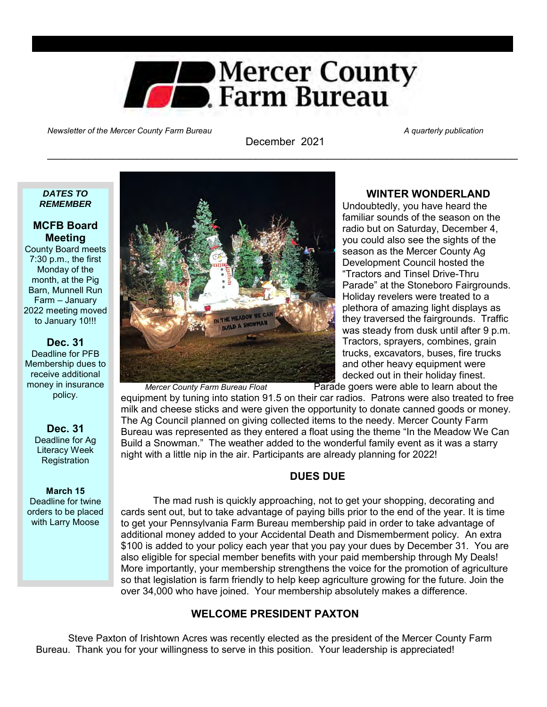

Newsletter of the Mercer County Farm Bureau A quarterly publication and the Mercer A quarterly publication

December 2021 \_\_\_\_\_\_\_\_\_\_\_\_\_\_\_\_\_\_\_\_\_\_\_\_\_\_\_\_\_\_\_\_\_\_\_\_\_\_\_\_\_\_\_\_\_\_\_\_\_\_\_\_\_\_\_\_\_\_\_\_\_\_\_\_\_\_\_\_\_\_\_\_\_\_\_\_\_\_\_

#### *DATES TO REMEMBER*

# **MCFB Board Meeting**

County Board meets 7:30 p.m., the first Monday of the month, at the Pig Barn, Munnell Run Farm – January 2022 meeting moved to January 10!!!

# **Dec. 31**

Deadline for PFB Membership dues to receive additional money in insurance policy.

#### **Dec. 31** Deadline for Ag Literacy Week **Registration**

# **March 15**

Deadline for twine orders to be placed with Larry Moose



## **WINTER WONDERLAND**

Undoubtedly, you have heard the familiar sounds of the season on the radio but on Saturday, December 4, you could also see the sights of the season as the Mercer County Ag Development Council hosted the "Tractors and Tinsel Drive-Thru Parade" at the Stoneboro Fairgrounds. Holiday revelers were treated to a plethora of amazing light displays as they traversed the fairgrounds. Traffic was steady from dusk until after 9 p.m. Tractors, sprayers, combines, grain trucks, excavators, buses, fire trucks and other heavy equipment were decked out in their holiday finest.

*Mercer County Farm Bureau Float* Parade goers were able to learn about the equipment by tuning into station 91.5 on their car radios. Patrons were also treated to free milk and cheese sticks and were given the opportunity to donate canned goods or money. The Ag Council planned on giving collected items to the needy. Mercer County Farm Bureau was represented as they entered a float using the theme "In the Meadow We Can Build a Snowman." The weather added to the wonderful family event as it was a starry night with a little nip in the air. Participants are already planning for 2022!

# **DUES DUE**

The mad rush is quickly approaching, not to get your shopping, decorating and cards sent out, but to take advantage of paying bills prior to the end of the year. It is time to get your Pennsylvania Farm Bureau membership paid in order to take advantage of additional money added to your Accidental Death and Dismemberment policy. An extra \$100 is added to your policy each year that you pay your dues by December 31. You are also eligible for special member benefits with your paid membership through My Deals! More importantly, your membership strengthens the voice for the promotion of agriculture so that legislation is farm friendly to help keep agriculture growing for the future. Join the over 34,000 who have joined. Your membership absolutely makes a difference.

# **WELCOME PRESIDENT PAXTON**

Steve Paxton of Irishtown Acres was recently elected as the president of the Mercer County Farm Bureau. Thank you for your willingness to serve in this position. Your leadership is appreciated!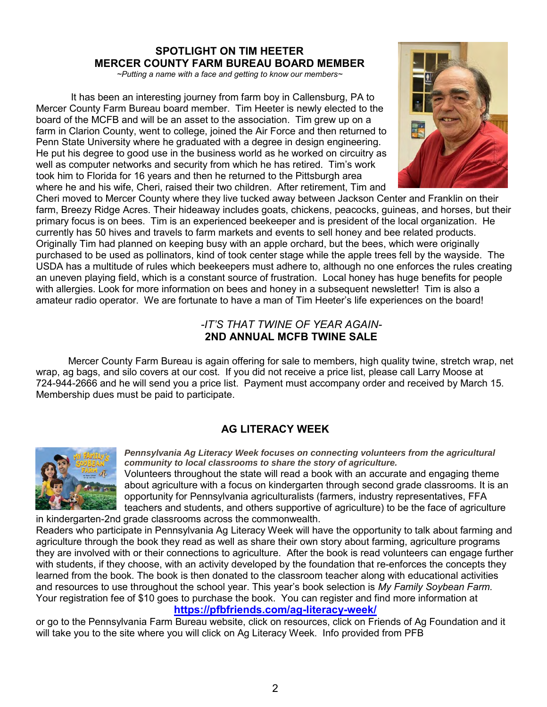# **SPOTLIGHT ON TIM HEETER MERCER COUNTY FARM BUREAU BOARD MEMBER**

*~Putting a name with a face and getting to know our members~*

 It has been an interesting journey from farm boy in Callensburg, PA to Mercer County Farm Bureau board member. Tim Heeter is newly elected to the board of the MCFB and will be an asset to the association. Tim grew up on a farm in Clarion County, went to college, joined the Air Force and then returned to Penn State University where he graduated with a degree in design engineering. He put his degree to good use in the business world as he worked on circuitry as well as computer networks and security from which he has retired. Tim's work took him to Florida for 16 years and then he returned to the Pittsburgh area where he and his wife, Cheri, raised their two children. After retirement, Tim and



Cheri moved to Mercer County where they live tucked away between Jackson Center and Franklin on their farm, Breezy Ridge Acres. Their hideaway includes goats, chickens, peacocks, guineas, and horses, but their primary focus is on bees. Tim is an experienced beekeeper and is president of the local organization. He currently has 50 hives and travels to farm markets and events to sell honey and bee related products. Originally Tim had planned on keeping busy with an apple orchard, but the bees, which were originally purchased to be used as pollinators, kind of took center stage while the apple trees fell by the wayside. The USDA has a multitude of rules which beekeepers must adhere to, although no one enforces the rules creating an uneven playing field, which is a constant source of frustration. Local honey has huge benefits for people with allergies. Look for more information on bees and honey in a subsequent newsletter! Tim is also a amateur radio operator. We are fortunate to have a man of Tim Heeter's life experiences on the board!

# *-IT'S THAT TWINE OF YEAR AGAIN-***2ND ANNUAL MCFB TWINE SALE**

Mercer County Farm Bureau is again offering for sale to members, high quality twine, stretch wrap, net wrap, ag bags, and silo covers at our cost. If you did not receive a price list, please call Larry Moose at 724-944-2666 and he will send you a price list. Payment must accompany order and received by March 15. Membership dues must be paid to participate.

# **AG LITERACY WEEK**



*Pennsylvania Ag Literacy Week focuses on connecting volunteers from the agricultural community to local classrooms to share the story of agriculture.* 

Volunteers throughout the state will read a book with an accurate and engaging theme about agriculture with a focus on kindergarten through second grade classrooms. It is an opportunity for Pennsylvania agriculturalists (farmers, industry representatives, FFA teachers and students, and others supportive of agriculture) to be the face of agriculture in kindergarten-2nd grade classrooms across the commonwealth.

Readers who participate in Pennsylvania Ag Literacy Week will have the opportunity to talk about farming and agriculture through the book they read as well as share their own story about farming, agriculture programs they are involved with or their connections to agriculture. After the book is read volunteers can engage further with students, if they choose, with an activity developed by the foundation that re-enforces the concepts they learned from the book. The book is then donated to the classroom teacher along with educational activities and resources to use throughout the school year. This year's book selection is *My Family Soybean Farm.*  Your registration fee of \$10 goes to purchase the book. You can register and find more information at

**<https://pfbfriends.com/ag-literacy-week/>**

or go to the Pennsylvania Farm Bureau website, click on resources, click on Friends of Ag Foundation and it will take you to the site where you will click on Ag Literacy Week. Info provided from PFB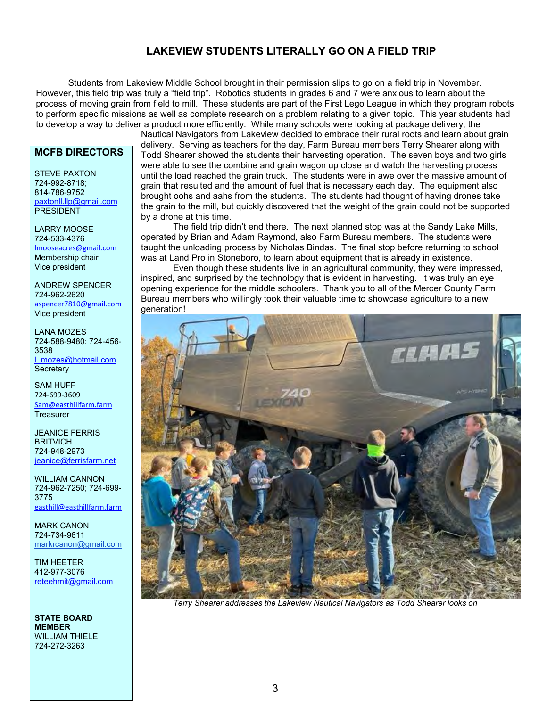# **LAKEVIEW STUDENTS LITERALLY GO ON A FIELD TRIP**

Students from Lakeview Middle School brought in their permission slips to go on a field trip in November. However, this field trip was truly a "field trip". Robotics students in grades 6 and 7 were anxious to learn about the process of moving grain from field to mill. These students are part of the First Lego League in which they program robots to perform specific missions as well as complete research on a problem relating to a given topic. This year students had to develop a way to deliver a product more efficiently. While many schools were looking at package delivery, the

# **MCFB DIRECTORS**

STEVE PAXTON 724-992-8718; 814-786-9752 [paxtonll.llp@gmail.com](mailto:paxtonll@yahoo.com) **PRESIDENT** 

LARRY MOOSE 724-533-4376 [lmooseacres@gmail.com](mailto:lmooseacres@gmail.com) Membership chair Vice president

ANDREW SPENCER 724-962-2620 [aspencer7810@gmail.com](mailto:aspencer7810@gmail.com) Vice president

LANA MOZES 724-588-9480; 724-456- 3538 [l\\_mozes@hotmail.com](mailto:l_mozes@hotmail.com) **Secretary** 

SAM HUFF 724-699-3609 [Sam@easthillfarm.farm](mailto:Sam@easthillfarm.farm) **Treasurer** 

JEANICE FERRIS **BRITVICH** 724-948-2973 [jeanice@ferrisfarm.net](mailto:jeanice@ferrisfarm.net)

WILLIAM CANNON 724-962-7250; 724-699- 3775 [easthill@easthillfarm.farm](mailto:easthill@easthillfarm.farm)

MARK CANON 724-734-9611 [markrcanon@gmail.com](mailto:markrcanon@gmail.com)

TIM HEETER 412-977-3076 [reteehmit@gmail.com](mailto:reteehmit@gmail.com)

**STATE BOARD MEMBER** WILLIAM THIELE 724-272-3263

Nautical Navigators from Lakeview decided to embrace their rural roots and learn about grain delivery. Serving as teachers for the day, Farm Bureau members Terry Shearer along with Todd Shearer showed the students their harvesting operation. The seven boys and two girls were able to see the combine and grain wagon up close and watch the harvesting process until the load reached the grain truck. The students were in awe over the massive amount of grain that resulted and the amount of fuel that is necessary each day. The equipment also brought oohs and aahs from the students. The students had thought of having drones take the grain to the mill, but quickly discovered that the weight of the grain could not be supported by a drone at this time.

The field trip didn't end there. The next planned stop was at the Sandy Lake Mills, operated by Brian and Adam Raymond, also Farm Bureau members. The students were taught the unloading process by Nicholas Bindas. The final stop before returning to school was at Land Pro in Stoneboro, to learn about equipment that is already in existence.

Even though these students live in an agricultural community, they were impressed, inspired, and surprised by the technology that is evident in harvesting. It was truly an eye opening experience for the middle schoolers. Thank you to all of the Mercer County Farm Bureau members who willingly took their valuable time to showcase agriculture to a new generation!



*Terry Shearer addresses the Lakeview Nautical Navigators as Todd Shearer looks on*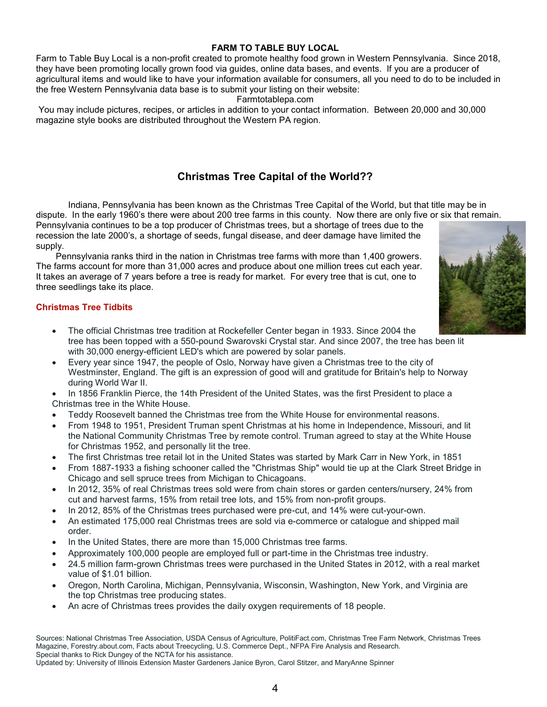# **FARM TO TABLE BUY LOCAL**

Farm to Table Buy Local is a non-profit created to promote healthy food grown in Western Pennsylvania. Since 2018, they have been promoting locally grown food via guides, online data bases, and events. If you are a producer of agricultural items and would like to have your information available for consumers, all you need to do to be included in the free Western Pennsylvania data base is to submit your listing on their website:

#### Farmtotablepa.com

 You may include pictures, recipes, or articles in addition to your contact information. Between 20,000 and 30,000 magazine style books are distributed throughout the Western PA region.

# **Christmas Tree Capital of the World??**

 Indiana, Pennsylvania has been known as the Christmas Tree Capital of the World, but that title may be in dispute. In the early 1960's there were about 200 tree farms in this county. Now there are only five or six that remain.

Pennsylvania continues to be a top producer of Christmas trees, but a shortage of trees due to the recession the late 2000's, a shortage of seeds, fungal disease, and deer damage have limited the supply.

 Pennsylvania ranks third in the nation in Christmas tree farms with more than 1,400 growers. The farms account for more than 31,000 acres and produce about one million trees cut each year. It takes an average of 7 years before a tree is ready for market. For every tree that is cut, one to three seedlings take its place.

#### **Christmas Tree Tidbits**

- The official Christmas tree tradition at Rockefeller Center began in 1933. Since 2004 the tree has been topped with a 550-pound Swarovski Crystal star. And since 2007, the tree has been lit with 30,000 energy-efficient LED's which are powered by solar panels.
- Every year since 1947, the people of Oslo, Norway have given a Christmas tree to the city of Westminster, England. The gift is an expression of good will and gratitude for Britain's help to Norway during World War II.
- In 1856 Franklin Pierce, the 14th President of the United States, was the first President to place a Christmas tree in the White House.
- Teddy Roosevelt banned the Christmas tree from the White House for environmental reasons.
- From 1948 to 1951, President Truman spent Christmas at his home in Independence, Missouri, and lit the National Community Christmas Tree by remote control. Truman agreed to stay at the White House for Christmas 1952, and personally lit the tree.
- The first Christmas tree retail lot in the United States was started by Mark Carr in New York, in 1851
- From 1887-1933 a fishing schooner called the "Christmas Ship" would tie up at the Clark Street Bridge in Chicago and sell spruce trees from Michigan to Chicagoans.
- In 2012, 35% of real Christmas trees sold were from chain stores or garden centers/nursery, 24% from cut and harvest farms, 15% from retail tree lots, and 15% from non-profit groups.
- In 2012, 85% of the Christmas trees purchased were pre-cut, and 14% were cut-your-own.
- An estimated 175,000 real Christmas trees are sold via e-commerce or catalogue and shipped mail order.
- In the United States, there are more than 15,000 Christmas tree farms.
- Approximately 100,000 people are employed full or part-time in the Christmas tree industry.
- 24.5 million farm-grown Christmas trees were purchased in the United States in 2012, with a real market value of \$1.01 billion.
- Oregon, North Carolina, Michigan, Pennsylvania, Wisconsin, Washington, New York, and Virginia are the top Christmas tree producing states.
- An acre of Christmas trees provides the daily oxygen requirements of 18 people.

Sources: National Christmas Tree Association, USDA Census of Agriculture, PolitiFact.com, Christmas Tree Farm Network, Christmas Trees Magazine, Forestry.about.com, Facts about Treecycling, U.S. Commerce Dept., NFPA Fire Analysis and Research. Special thanks to Rick Dungey of the NCTA for his assistance.

Updated by: University of Illinois Extension Master Gardeners Janice Byron, Carol Stitzer, and MaryAnne Spinner

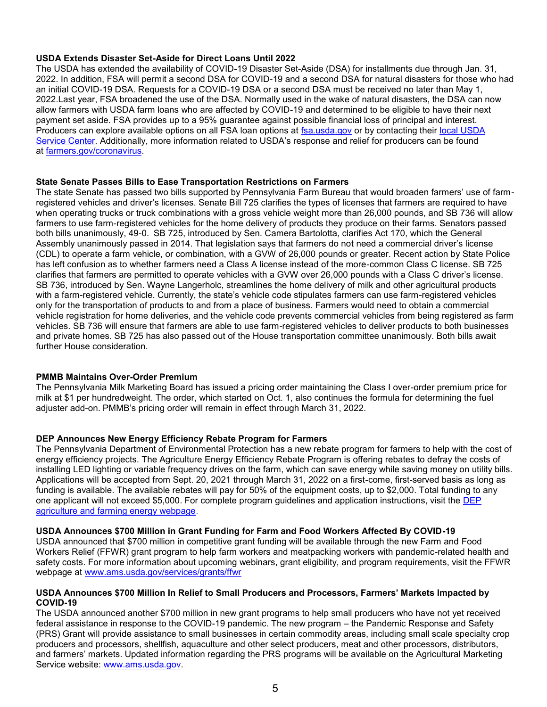#### **USDA Extends Disaster Set-Aside for Direct Loans Until 2022**

The USDA has extended the availability of COVID-19 Disaster Set-Aside (DSA) for installments due through Jan. 31, 2022. In addition, FSA will permit a second DSA for COVID-19 and a second DSA for natural disasters for those who had an initial COVID-19 DSA. Requests for a COVID-19 DSA or a second DSA must be received no later than May 1, 2022.Last year, FSA broadened the use of the DSA. Normally used in the wake of natural disasters, the DSA can now allow farmers with USDA farm loans who are affected by COVID-19 and determined to be eligible to have their next payment set aside. FSA provides up to a 95% guarantee against possible financial loss of principal and interest. Producers can explore available options on all FSA loan options at [fsa.usda.gov](https://www.fsa.usda.gov/) or by contacting their [local USDA](https://www.farmers.gov/working-with-us/service-center-locator)  [Service Center.](https://www.farmers.gov/working-with-us/service-center-locator) Additionally, more information related to USDA's response and relief for producers can be found at [farmers.gov/coronavirus.](https://www.farmers.gov/coronavirus)

#### **State Senate Passes Bills to Ease Transportation Restrictions on Farmers**

The state Senate has passed two bills supported by Pennsylvania Farm Bureau that would broaden farmers' use of farmregistered vehicles and driver's licenses. Senate Bill 725 clarifies the types of licenses that farmers are required to have when operating trucks or truck combinations with a gross vehicle weight more than 26,000 pounds, and SB 736 will allow farmers to use farm-registered vehicles for the home delivery of products they produce on their farms. Senators passed both bills unanimously, 49-0. SB 725, introduced by Sen. Camera Bartolotta, clarifies Act 170, which the General Assembly unanimously passed in 2014. That legislation says that farmers do not need a commercial driver's license (CDL) to operate a farm vehicle, or combination, with a GVW of 26,000 pounds or greater. Recent action by State Police has left confusion as to whether farmers need a Class A license instead of the more-common Class C license. SB 725 clarifies that farmers are permitted to operate vehicles with a GVW over 26,000 pounds with a Class C driver's license. SB 736, introduced by Sen. Wayne Langerholc, streamlines the home delivery of milk and other agricultural products with a farm-registered vehicle. Currently, the state's vehicle code stipulates farmers can use farm-registered vehicles only for the transportation of products to and from a place of business. Farmers would need to obtain a commercial vehicle registration for home deliveries, and the vehicle code prevents commercial vehicles from being registered as farm vehicles. SB 736 will ensure that farmers are able to use farm-registered vehicles to deliver products to both businesses and private homes. SB 725 has also passed out of the House transportation committee unanimously. Both bills await further House consideration.

#### **PMMB Maintains Over-Order Premium**

The Pennsylvania Milk Marketing Board has issued a pricing order maintaining the Class I over-order premium price for milk at \$1 per hundredweight. The order, which started on Oct. 1, also continues the formula for determining the fuel adjuster add-on. PMMB's pricing order will remain in effect through March 31, 2022.

## **DEP Announces New Energy Efficiency Rebate Program for Farmers**

The Pennsylvania Department of Environmental Protection has a new rebate program for farmers to help with the cost of energy efficiency projects. The Agriculture Energy Efficiency Rebate Program is offering rebates to defray the costs of installing LED lighting or variable frequency drives on the farm, which can save energy while saving money on utility bills. Applications will be accepted from Sept. 20, 2021 through March 31, 2022 on a first-come, first-served basis as long as funding is available. The available rebates will pay for 50% of the equipment costs, up to \$2,000. Total funding to any one applicant will not exceed \$5,000. For complete program guidelines and application instructions, visit the DEP [agriculture and farming energy webpage.](http://www.dep.pa.gov/agricultureenergy)

#### **USDA Announces \$700 Million in Grant Funding for Farm and Food Workers Affected By COVID-19**

USDA announced that \$700 million in competitive grant funding will be available through the new Farm and Food Workers Relief (FFWR) grant program to help farm workers and meatpacking workers with pandemic-related health and safety costs. For more information about upcoming webinars, grant eligibility, and program requirements, visit the FFWR webpage at [www.ams.usda.gov/services/grants/ffwr](https://r20.rs6.net/tn.jsp?f=001bGIeaJcq4dR2zAzXDV436eK5eszOiNizdAmw26Q5_AjO2JSZ_E02aCzfQf7poD3vvQhPH3wExZJTDcLewdTrikJ9oFWvPYPV730CLfFotLFgn7VcFsFdsxyG2v_eOBoOI8YZSWH8RMyraaGTI8_QirB45Pt-d6WSbWTVDYJ3rvv63sbhUqquew==&c=sudvSuOuAGd_7yRF9tRdvITUMJHDK3ZqWZcJHN3kD8YhakgM242usA==&ch=-HAK21BPhwgc-ukwxyLyCpG67LDv79bt3_VZjRBZGbvdzynrXMXFVA==)

#### **USDA Announces \$700 Million In Relief to Small Producers and Processors, Farmers' Markets Impacted by COVID-19**

The USDA announced another \$700 million in new grant programs to help small producers who have not yet received federal assistance in response to the COVID-19 pandemic. The new program – the Pandemic Response and Safety (PRS) Grant will provide assistance to small businesses in certain commodity areas, including small scale specialty crop producers and processors, shellfish, aquaculture and other select producers, meat and other processors, distributors, and farmers' markets. Updated information regarding the PRS programs will be available on the Agricultural Marketing Service website: [www.ams.usda.gov.](https://r20.rs6.net/tn.jsp?f=001Eo0Ka4kZT3lw9q0REUTpbdfthCJGB9Zx_cKsa7EF6T8QL6CoChHH7QO-jk0TPI-4_B3hATIuehAkTbDG1rlJnLiGUEy8IC48NHbrWEbEC8Cjtdn1rPBM51ABhiwqFRsW5XQmLV11B-_tdmRcMsXZmA==&c=m9_xe7V9w_gWi1JxAiLE65J2kHmyVNI1Qcb498p4An-fmL5JtP9pFw==&ch=iyIg188xwYqjw7BitNnNPHz6WchTsgxknME7oeQoFr0YCWoyl_bCGw==)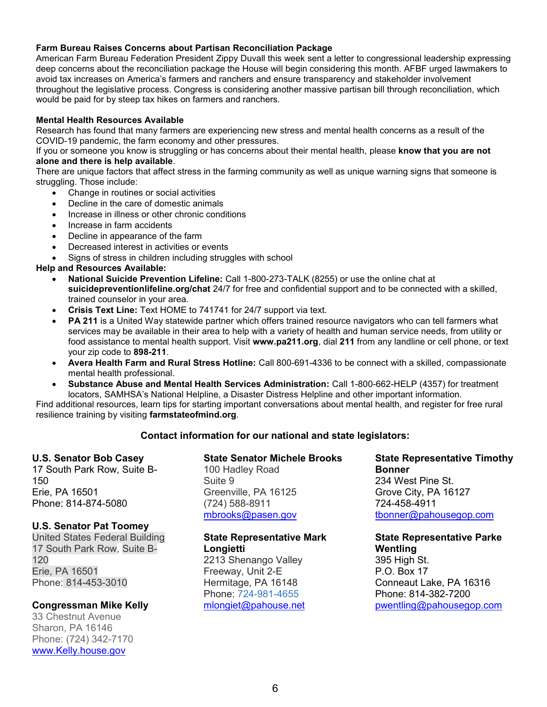#### **Farm Bureau Raises Concerns about Partisan Reconciliation Package**

American Farm Bureau Federation President Zippy Duvall this week sent a letter to congressional leadership expressing deep concerns about the reconciliation package the House will begin considering this month. AFBF urged lawmakers to avoid tax increases on America's farmers and ranchers and ensure transparency and stakeholder involvement throughout the legislative process. Congress is considering another massive partisan bill through reconciliation, which would be paid for by steep tax hikes on farmers and ranchers.

### **Mental Health Resources Available**

Research has found that many farmers are experiencing new stress and mental health concerns as a result of the COVID-19 pandemic, the farm economy and other pressures.

If you or someone you know is struggling or has concerns about their mental health, please **know that you are not alone and there is help available**.

There are unique factors that affect stress in the farming community as well as unique warning signs that someone is struggling. Those include:

- Change in routines or social activities
- Decline in the care of domestic animals
- Increase in illness or other chronic conditions
- Increase in farm accidents
- Decline in appearance of the farm
- Decreased interest in activities or events
- Signs of stress in children including struggles with school

#### **Help and Resources Available:**

- **National Suicide Prevention Lifeline:** Call 1-800-273-TALK (8255) or use the online chat at **suicidepreventionlifeline.org/chat** 24/7 for free and confidential support and to be connected with a skilled, trained counselor in your area.
- **Crisis Text Line:** Text HOME to 741741 for 24/7 support via text.
- **PA 211** is a United Way statewide partner which offers trained resource navigators who can tell farmers what services may be available in their area to help with a variety of health and human service needs, from utility or food assistance to mental health support. Visit **www.pa211.org**, dial **211** from any landline or cell phone, or text your zip code to **898-211**.
- **Avera Health Farm and Rural Stress Hotline:** Call 800-691-4336 to be connect with a skilled, compassionate mental health professional.
- **Substance Abuse and Mental Health Services Administration:** Call 1-800-662-HELP (4357) for treatment locators, SAMHSA's National Helpline, a Disaster Distress Helpline and other important information.

Find additional resources, learn tips for starting important conversations about mental health, and register for free rural resilience training by visiting **farmstateofmind.org**.

## **Contact information for our national and state legislators:**

## **U.S. Senator Bob Casey**

17 South Park Row, Suite B-150 Erie, PA 16501 Phone: 814-874-5080

## **U.S. Senator Pat Toomey**

United States Federal Building 17 South Park Row, Suite B-120 Erie, PA 16501 Phone: 814-453-3010

## **Congressman Mike Kelly**

33 Chestnut Avenue Sharon, PA 16146 Phone: (724) 342-7170 [www.Kelly.house.gov](http://www.kelly.house.gov/) 

## **State Senator Michele Brooks**

100 Hadley Road Suite 9 Greenville, PA 16125 (724) 588-8911 [mbrooks@pasen.gov](mailto:mbrooks@pasen.gov)

# **State Representative Mark Longietti**

2213 Shenango Valley Freeway, Unit 2-E Hermitage, PA 16148 Phone: [724-981-4655](tel:7249814655) [mlongiet@pahouse.net](mailto:mlongiet@pahouse.net) **State Representative Timothy Bonner**  234 West Pine St. Grove City, PA 16127 724-458-4911 [tbonner@pahousegop.com](mailto:tbonner@pahousegop.com) 

**State Representative Parke Wentling**  395 High St. P.O. Box 17 Conneaut Lake, PA 16316 Phone: 814-382-7200 [pwentling@pahousegop.com](mailto:pwentling@pahousegop.com)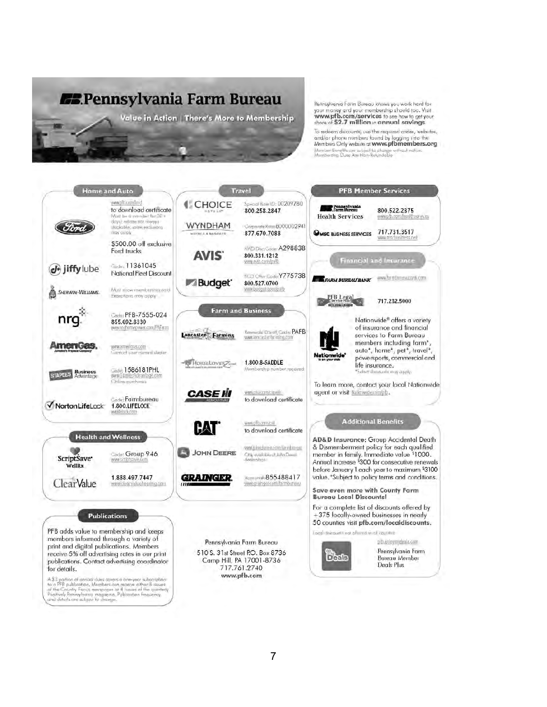

Pennsylvania Farm Bureau knows you work hard for your money and your membership should too. Visit<br>www.pfb.com/services to see how to get your share of \$2.7 million in annual savings

To redeem discounts, ise the required codes, websites, and/or phone numbers found by logging into the Members Only website at www.pfbmembers.org Member Benetits are subject to change<br>Membership Dues Are Non-Retundable